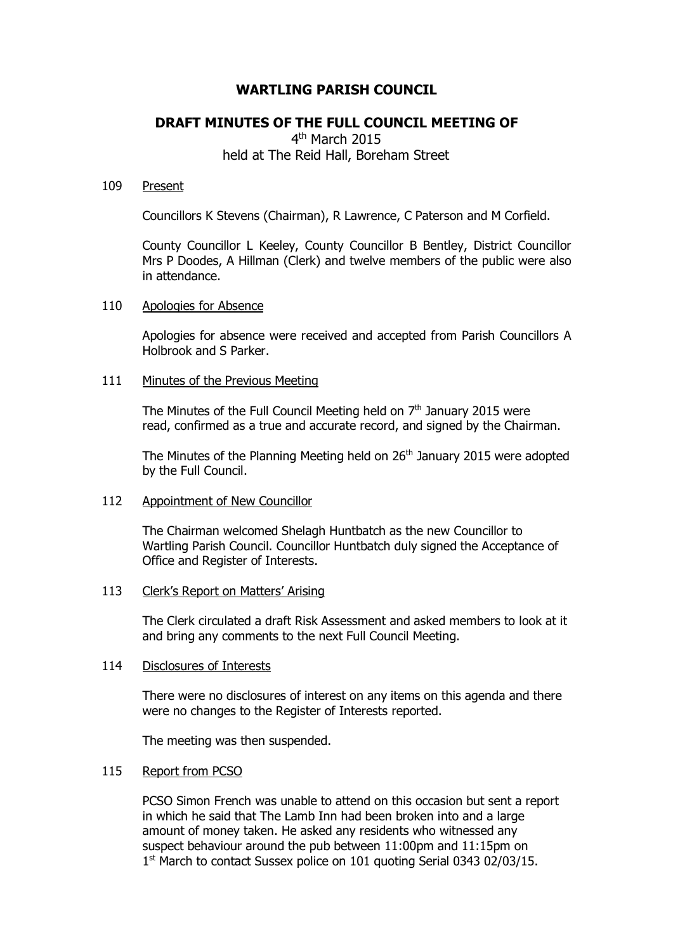# **WARTLING PARISH COUNCIL**

# **DRAFT MINUTES OF THE FULL COUNCIL MEETING OF**

4<sup>th</sup> March 2015 held at The Reid Hall, Boreham Street

## 109 Present

Councillors K Stevens (Chairman), R Lawrence, C Paterson and M Corfield.

County Councillor L Keeley, County Councillor B Bentley, District Councillor Mrs P Doodes, A Hillman (Clerk) and twelve members of the public were also in attendance.

# 110 Apologies for Absence

Apologies for absence were received and accepted from Parish Councillors A Holbrook and S Parker.

# 111 Minutes of the Previous Meeting

The Minutes of the Full Council Meeting held on  $7<sup>th</sup>$  January 2015 were read, confirmed as a true and accurate record, and signed by the Chairman.

The Minutes of the Planning Meeting held on 26<sup>th</sup> January 2015 were adopted by the Full Council.

# 112 Appointment of New Councillor

The Chairman welcomed Shelagh Huntbatch as the new Councillor to Wartling Parish Council. Councillor Huntbatch duly signed the Acceptance of Office and Register of Interests.

## 113 Clerk's Report on Matters' Arising

The Clerk circulated a draft Risk Assessment and asked members to look at it and bring any comments to the next Full Council Meeting.

## 114 Disclosures of Interests

There were no disclosures of interest on any items on this agenda and there were no changes to the Register of Interests reported.

The meeting was then suspended.

## 115 Report from PCSO

PCSO Simon French was unable to attend on this occasion but sent a report in which he said that The Lamb Inn had been broken into and a large amount of money taken. He asked any residents who witnessed any suspect behaviour around the pub between 11:00pm and 11:15pm on 1<sup>st</sup> March to contact Sussex police on 101 quoting Serial 0343 02/03/15.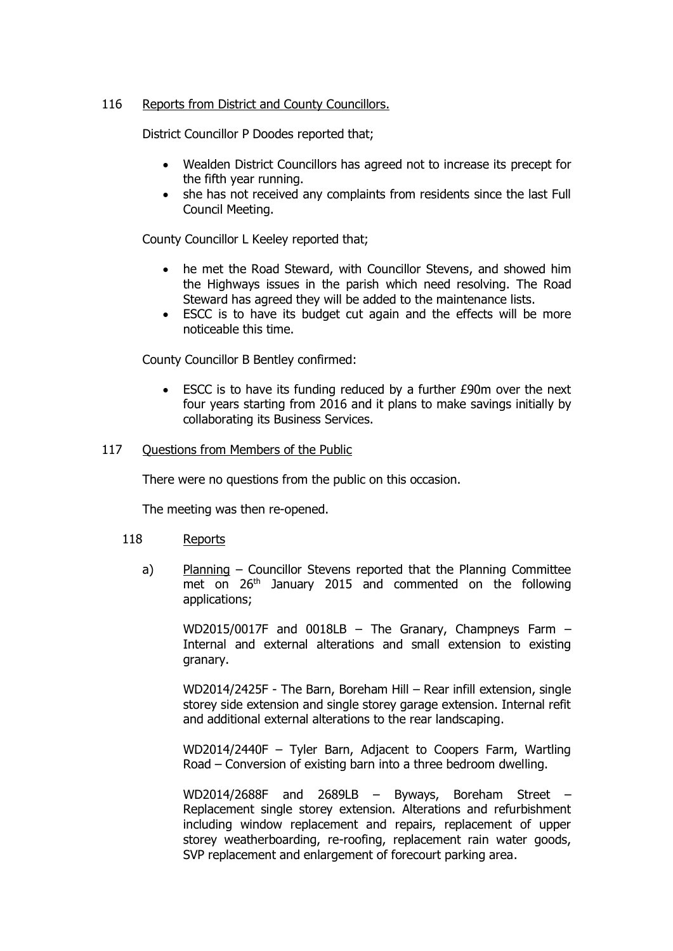# 116 Reports from District and County Councillors.

District Councillor P Doodes reported that;

- Wealden District Councillors has agreed not to increase its precept for the fifth year running.
- she has not received any complaints from residents since the last Full Council Meeting.

County Councillor L Keeley reported that;

- he met the Road Steward, with Councillor Stevens, and showed him the Highways issues in the parish which need resolving. The Road Steward has agreed they will be added to the maintenance lists.
- ESCC is to have its budget cut again and the effects will be more noticeable this time.

County Councillor B Bentley confirmed:

 ESCC is to have its funding reduced by a further £90m over the next four years starting from 2016 and it plans to make savings initially by collaborating its Business Services.

# 117 Questions from Members of the Public

There were no questions from the public on this occasion.

The meeting was then re-opened.

## 118 Reports

a) Planning – Councillor Stevens reported that the Planning Committee met on 26<sup>th</sup> January 2015 and commented on the following applications;

WD2015/0017F and 0018LB – The Granary, Champneys Farm – Internal and external alterations and small extension to existing granary.

WD2014/2425F - The Barn, Boreham Hill – Rear infill extension, single storey side extension and single storey garage extension. Internal refit and additional external alterations to the rear landscaping.

WD2014/2440F – Tyler Barn, Adjacent to Coopers Farm, Wartling Road – Conversion of existing barn into a three bedroom dwelling.

WD2014/2688F and 2689LB – Byways, Boreham Street – Replacement single storey extension. Alterations and refurbishment including window replacement and repairs, replacement of upper storey weatherboarding, re-roofing, replacement rain water goods, SVP replacement and enlargement of forecourt parking area.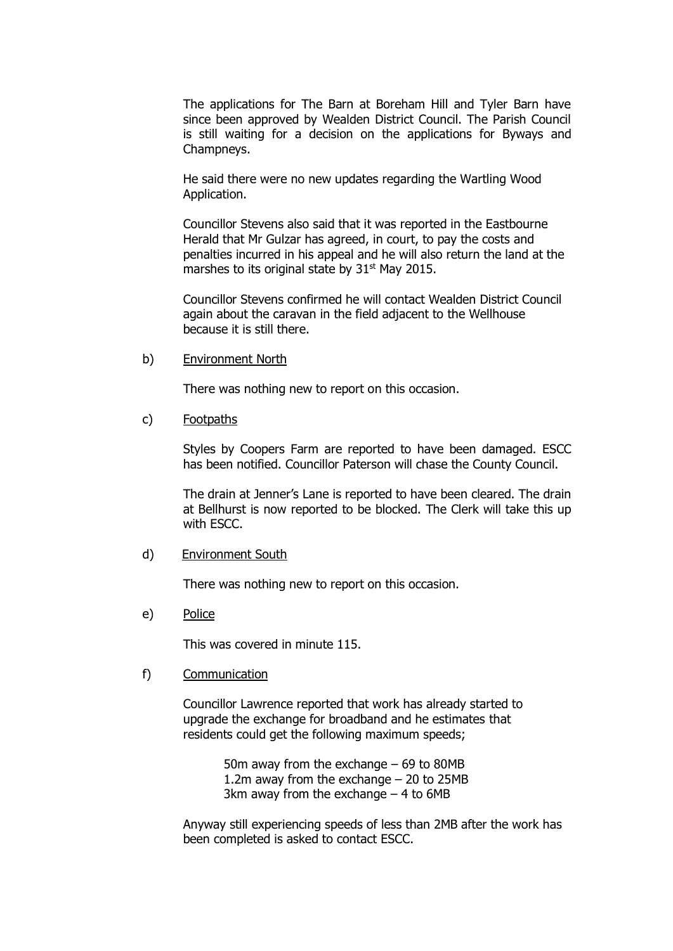The applications for The Barn at Boreham Hill and Tyler Barn have since been approved by Wealden District Council. The Parish Council is still waiting for a decision on the applications for Byways and Champneys.

He said there were no new updates regarding the Wartling Wood Application.

Councillor Stevens also said that it was reported in the Eastbourne Herald that Mr Gulzar has agreed, in court, to pay the costs and penalties incurred in his appeal and he will also return the land at the marshes to its original state by  $31<sup>st</sup>$  May 2015.

Councillor Stevens confirmed he will contact Wealden District Council again about the caravan in the field adjacent to the Wellhouse because it is still there.

b) Environment North

There was nothing new to report on this occasion.

c) Footpaths

Styles by Coopers Farm are reported to have been damaged. ESCC has been notified. Councillor Paterson will chase the County Council.

The drain at Jenner's Lane is reported to have been cleared. The drain at Bellhurst is now reported to be blocked. The Clerk will take this up with ESCC.

d) Environment South

There was nothing new to report on this occasion.

e) Police

This was covered in minute 115.

f) Communication

Councillor Lawrence reported that work has already started to upgrade the exchange for broadband and he estimates that residents could get the following maximum speeds;

> 50m away from the exchange – 69 to 80MB 1.2m away from the exchange – 20 to 25MB 3km away from the exchange  $-4$  to 6MB

Anyway still experiencing speeds of less than 2MB after the work has been completed is asked to contact ESCC.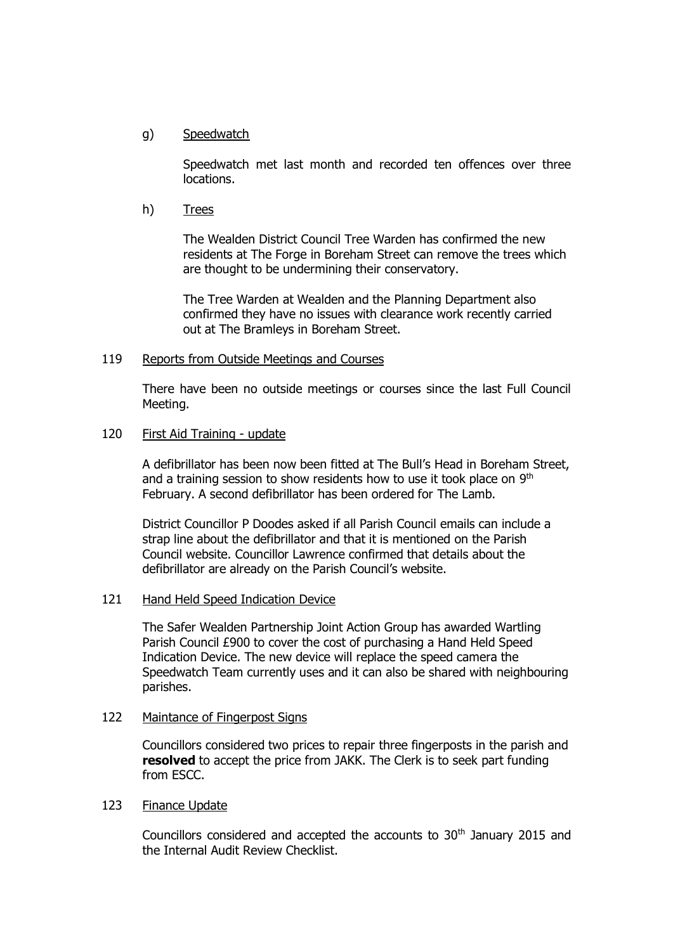# g) Speedwatch

Speedwatch met last month and recorded ten offences over three locations.

h) Trees

The Wealden District Council Tree Warden has confirmed the new residents at The Forge in Boreham Street can remove the trees which are thought to be undermining their conservatory.

The Tree Warden at Wealden and the Planning Department also confirmed they have no issues with clearance work recently carried out at The Bramleys in Boreham Street.

## 119 Reports from Outside Meetings and Courses

There have been no outside meetings or courses since the last Full Council Meeting.

# 120 First Aid Training - update

A defibrillator has been now been fitted at The Bull's Head in Boreham Street, and a training session to show residents how to use it took place on  $9<sup>th</sup>$ February. A second defibrillator has been ordered for The Lamb.

District Councillor P Doodes asked if all Parish Council emails can include a strap line about the defibrillator and that it is mentioned on the Parish Council website. Councillor Lawrence confirmed that details about the defibrillator are already on the Parish Council's website.

## 121 Hand Held Speed Indication Device

The Safer Wealden Partnership Joint Action Group has awarded Wartling Parish Council £900 to cover the cost of purchasing a Hand Held Speed Indication Device. The new device will replace the speed camera the Speedwatch Team currently uses and it can also be shared with neighbouring parishes.

## 122 Maintance of Fingerpost Signs

Councillors considered two prices to repair three fingerposts in the parish and **resolved** to accept the price from JAKK. The Clerk is to seek part funding from ESCC.

## 123 Finance Update

Councillors considered and accepted the accounts to 30<sup>th</sup> January 2015 and the Internal Audit Review Checklist.